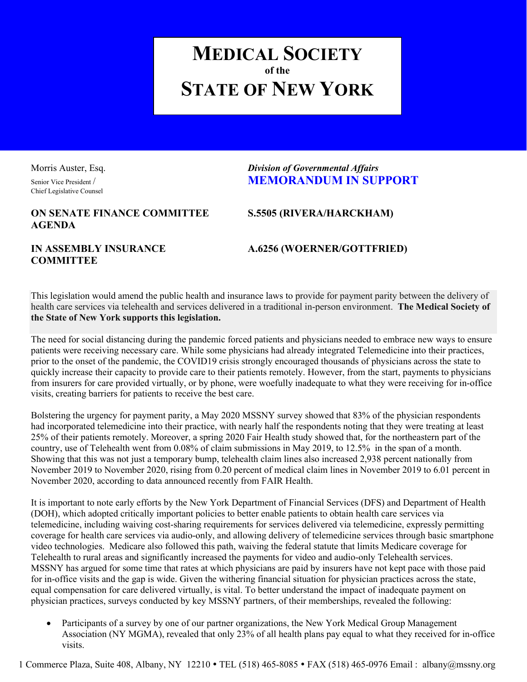# **MEDICAL SOCIETY of the STATE OF NEW YORK**

Chief Legislative Counsel

# Morris Auster, Esq. *Division of Governmental Affairs* Senior Vice President / **MEMORANDUM IN SUPPORT**

## **ON SENATE FINANCE COMMITTEE S.5505 (RIVERA/HARCKHAM) AGENDA**

**COMMITTEE**

### **IN ASSEMBLY INSURANCE A.6256 (WOERNER/GOTTFRIED)**

This legislation would amend the public health and insurance laws to provide for payment parity between the delivery of health care services via telehealth and services delivered in a traditional in-person environment. **The Medical Society of the State of New York supports this legislation.**

The need for social distancing during the pandemic forced patients and physicians needed to embrace new ways to ensure patients were receiving necessary care. While some physicians had already integrated Telemedicine into their practices, prior to the onset of the pandemic, the COVID19 crisis strongly encouraged thousands of physicians across the state to quickly increase their capacity to provide care to their patients remotely. However, from the start, payments to physicians from insurers for care provided virtually, or by phone, were woefully inadequate to what they were receiving for in-office visits, creating barriers for patients to receive the best care.

Bolstering the urgency for payment parity, a May 2020 MSSNY survey showed that 83% of the physician respondents had incorporated telemedicine into their practice, with nearly half the respondents noting that they were treating at least 25% of their patients remotely. Moreover, a spring 2020 Fair Health study showed that, for the northeastern part of the country, use of Telehealth went from 0.08% of claim submissions in May 2019, to 12.5% in the span of a month. Showing that this was not just a temporary bump, telehealth claim lines also increased 2,938 percent nationally from November 2019 to November 2020, rising from 0.20 percent of medical claim lines in November 2019 to 6.01 percent in November 2020, according to data announced recently from FAIR Health.

It is important to note early efforts by the New York Department of Financial Services (DFS) and Department of Health (DOH), which adopted critically important policies to better enable patients to obtain health care services via telemedicine, including waiving cost-sharing requirements for services delivered via telemedicine, expressly permitting coverage for health care services via audio-only, and allowing delivery of telemedicine services through basic smartphone video technologies. Medicare also followed this path, waiving the federal statute that limits Medicare coverage for Telehealth to rural areas and significantly increased the payments for video and audio-only Telehealth services. MSSNY has argued for some time that rates at which physicians are paid by insurers have not kept pace with those paid for in-office visits and the gap is wide. Given the withering financial situation for physician practices across the state, equal compensation for care delivered virtually, is vital. To better understand the impact of inadequate payment on physician practices, surveys conducted by key MSSNY partners, of their memberships, revealed the following:

Participants of a survey by one of our partner organizations, the New York Medical Group Management Association (NY MGMA), revealed that only 23% of all health plans pay equal to what they received for in-office visits.

1 Commerce Plaza, Suite 408, Albany, NY 12210 TEL (518) 465-8085 FAX (518) 465-0976 Email : albany@mssny.org